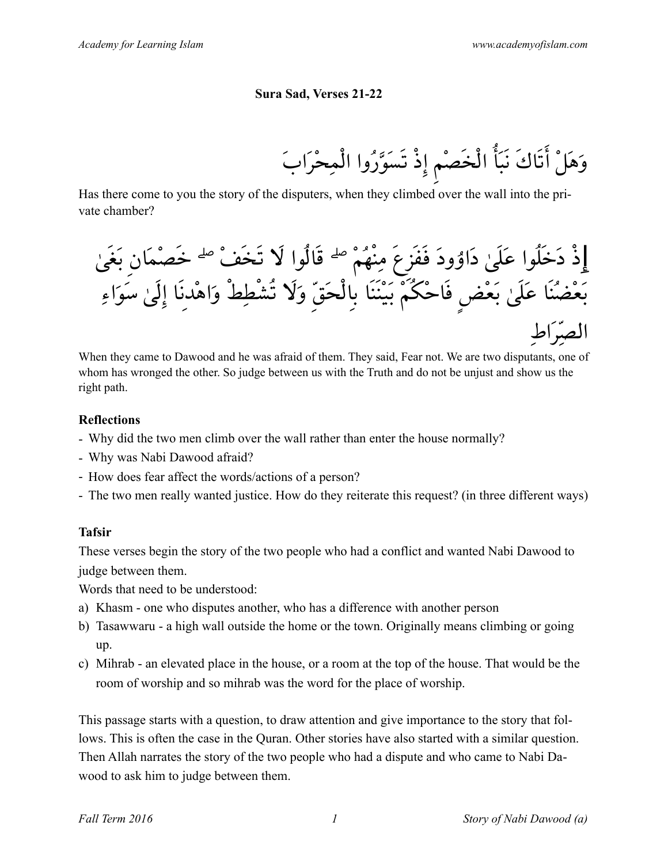#### **Sura Sad, Verses 21-22**

وَهَلْ أتَاكَ نَبَأ الْخَصْمِ إذْ تَسَوَّرُوا الْمِحْرَابَ

Has there come to you the story of the disputers, when they climbed over the wall into the private chamber?

إِذْ دَخَلُوا عَلَىٰ دَاۇودَ فَفَزِعَ مِنْهُمْ ۖ قَالُوا لَا تَخَفْ ۖ خَصْمَانِ بَغَىٰ بَعْضُنَا عَلَىٰ بَعْضٍ فَاحْکُمْ بَيْنَنَا بِالْحَقِّ وَلَا تُشْطِطْ وَاهْدِنَا إلَىٰ سَوَاءِ الصِّرَاطِ

When they came to Dawood and he was afraid of them. They said, Fear not. We are two disputants, one of whom has wronged the other. So judge between us with the Truth and do not be unjust and show us the right path.

#### **Reflections**

- Why did the two men climb over the wall rather than enter the house normally?
- Why was Nabi Dawood afraid?
- How does fear affect the words/actions of a person?
- The two men really wanted justice. How do they reiterate this request? (in three different ways)

# **Tafsir**

These verses begin the story of the two people who had a conflict and wanted Nabi Dawood to judge between them.

Words that need to be understood:

- a) Khasm one who disputes another, who has a difference with another person
- b) Tasawwaru a high wall outside the home or the town. Originally means climbing or going up.
- c) Mihrab an elevated place in the house, or a room at the top of the house. That would be the room of worship and so mihrab was the word for the place of worship.

This passage starts with a question, to draw attention and give importance to the story that follows. This is often the case in the Quran. Other stories have also started with a similar question. Then Allah narrates the story of the two people who had a dispute and who came to Nabi Dawood to ask him to judge between them.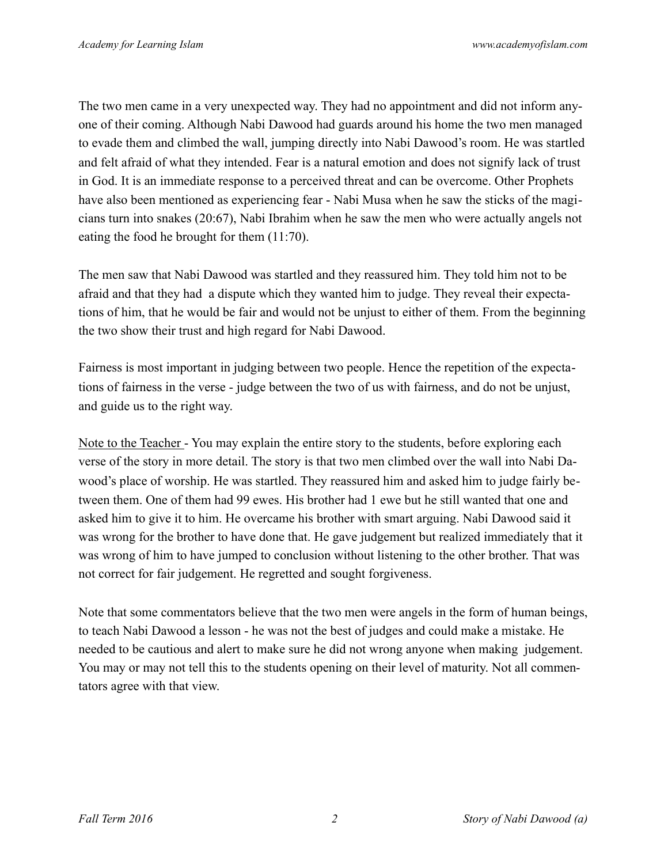The two men came in a very unexpected way. They had no appointment and did not inform anyone of their coming. Although Nabi Dawood had guards around his home the two men managed to evade them and climbed the wall, jumping directly into Nabi Dawood's room. He was startled and felt afraid of what they intended. Fear is a natural emotion and does not signify lack of trust in God. It is an immediate response to a perceived threat and can be overcome. Other Prophets have also been mentioned as experiencing fear - Nabi Musa when he saw the sticks of the magicians turn into snakes (20:67), Nabi Ibrahim when he saw the men who were actually angels not eating the food he brought for them (11:70).

The men saw that Nabi Dawood was startled and they reassured him. They told him not to be afraid and that they had a dispute which they wanted him to judge. They reveal their expectations of him, that he would be fair and would not be unjust to either of them. From the beginning the two show their trust and high regard for Nabi Dawood.

Fairness is most important in judging between two people. Hence the repetition of the expectations of fairness in the verse - judge between the two of us with fairness, and do not be unjust, and guide us to the right way.

Note to the Teacher - You may explain the entire story to the students, before exploring each verse of the story in more detail. The story is that two men climbed over the wall into Nabi Dawood's place of worship. He was startled. They reassured him and asked him to judge fairly between them. One of them had 99 ewes. His brother had 1 ewe but he still wanted that one and asked him to give it to him. He overcame his brother with smart arguing. Nabi Dawood said it was wrong for the brother to have done that. He gave judgement but realized immediately that it was wrong of him to have jumped to conclusion without listening to the other brother. That was not correct for fair judgement. He regretted and sought forgiveness.

Note that some commentators believe that the two men were angels in the form of human beings, to teach Nabi Dawood a lesson - he was not the best of judges and could make a mistake. He needed to be cautious and alert to make sure he did not wrong anyone when making judgement. You may or may not tell this to the students opening on their level of maturity. Not all commentators agree with that view.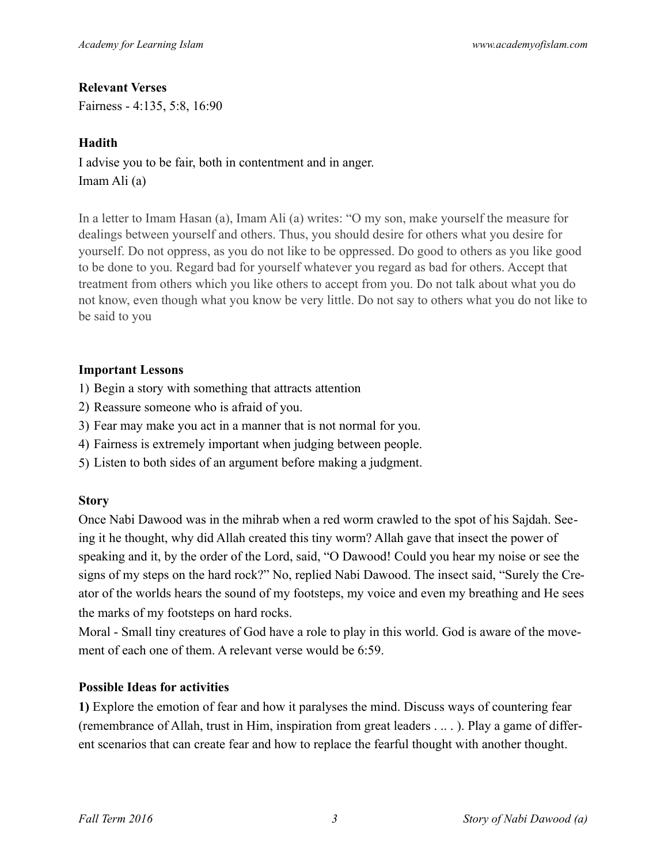## **Relevant Verses**

Fairness - 4:135, 5:8, 16:90

## **Hadith**

I advise you to be fair, both in contentment and in anger. Imam Ali (a)

In a letter to Imam Hasan (a), Imam Ali (a) writes: "O my son, make yourself the measure for dealings between yourself and others. Thus, you should desire for others what you desire for yourself. Do not oppress, as you do not like to be oppressed. Do good to others as you like good to be done to you. Regard bad for yourself whatever you regard as bad for others. Accept that treatment from others which you like others to accept from you. Do not talk about what you do not know, even though what you know be very little. Do not say to others what you do not like to be said to you

## **Important Lessons**

1) Begin a story with something that attracts attention

- 2) Reassure someone who is afraid of you.
- 3) Fear may make you act in a manner that is not normal for you.
- 4) Fairness is extremely important when judging between people.
- 5) Listen to both sides of an argument before making a judgment.

# **Story**

Once Nabi Dawood was in the mihrab when a red worm crawled to the spot of his Sajdah. Seeing it he thought, why did Allah created this tiny worm? Allah gave that insect the power of speaking and it, by the order of the Lord, said, "O Dawood! Could you hear my noise or see the signs of my steps on the hard rock?" No, replied Nabi Dawood. The insect said, "Surely the Creator of the worlds hears the sound of my footsteps, my voice and even my breathing and He sees the marks of my footsteps on hard rocks.

Moral - Small tiny creatures of God have a role to play in this world. God is aware of the movement of each one of them. A relevant verse would be 6:59.

# **Possible Ideas for activities**

**1)** Explore the emotion of fear and how it paralyses the mind. Discuss ways of countering fear (remembrance of Allah, trust in Him, inspiration from great leaders . .. . ). Play a game of different scenarios that can create fear and how to replace the fearful thought with another thought.